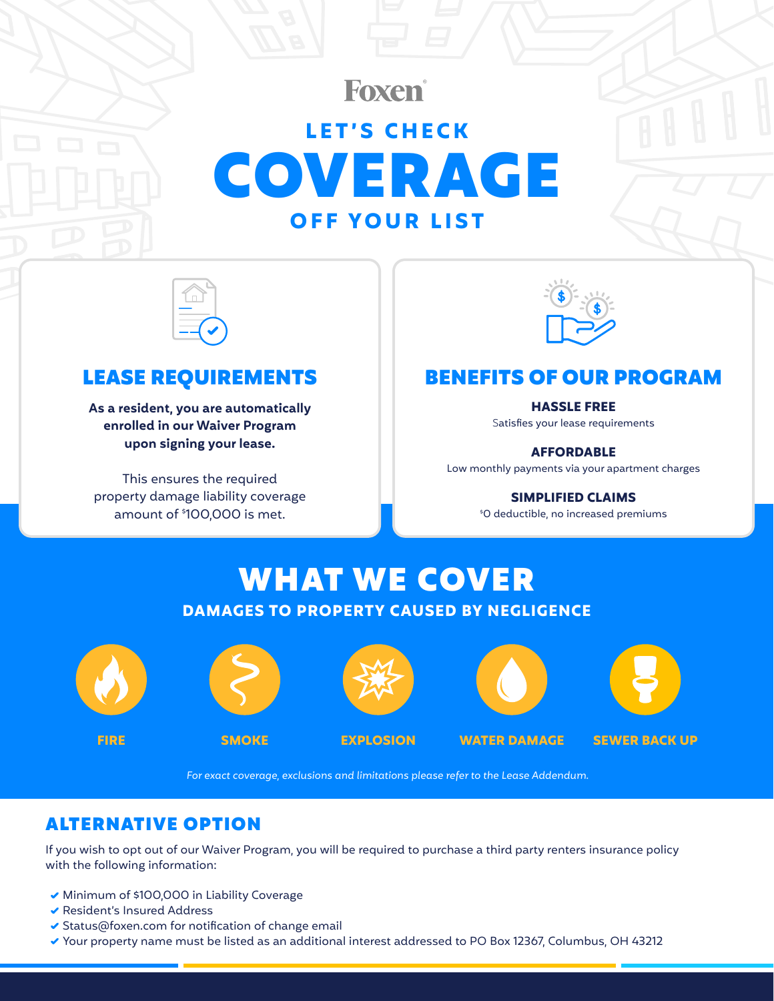## Foxen® **LET'S CHECK** COVERAGE **OFF YOUR LIST**



**As a resident, you are automatically enrolled in our Waiver Program upon signing your lease.**

This ensures the required property damage liability coverage amount of \$ 100,000 is met.



### LEASE REQUIREMENTS FENEFITS OF OUR PROGRAM

### **HASSLE FREE**

Satisfies your lease requirements

**AFFORDABLE**

Low monthly payments via your apartment charges

**SIMPLIFIED CLAIMS**

\$ 0 deductible, no increased premiums

# WHAT WE COVER **DAMAGES TO PROPERTY CAUSED BY NEGLIGENCE**









**FIRE SMOKE EXPLOSION WATER DAMAGE SEWER BACK UP**

*For exact coverage, exclusions and limitations please refer to the Lease Addendum.*

### ALTERNATIVE OPTION

If you wish to opt out of our Waiver Program, you will be required to purchase a third party renters insurance policy with the following information:

- Minimum of \$100,000 in Liability Coverage
- Resident's Insured Address
- $\blacktriangleright$  Status@foxen.com for notification of change email
- Your property name must be listed as an additional interest addressed to PO Box 12367, Columbus, OH 43212